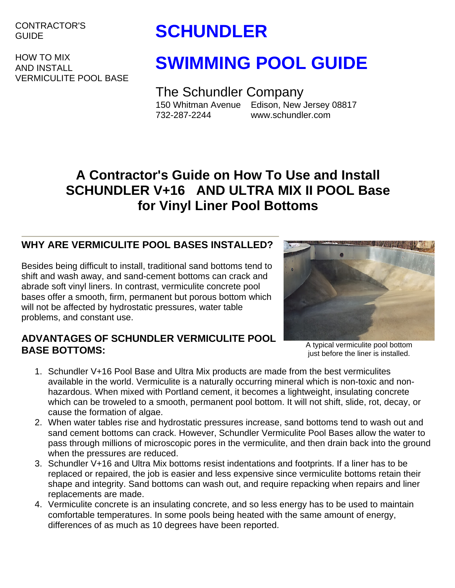CONTRACTOR'S

HOW TO MIX AND INSTALL VERMICULITE POOL BASE

# GUIDE **SCHUNDLER**

# **SWIMMING POOL GUIDE**

The Schundler Company 150 Whitman Avenue Edison, New Jersey 08817 732-287-2244 www.schundler.com

# **A Contractor's Guide on How To Use and Install SCHUNDLER V+16 AND ULTRA MIX II POOL Base for Vinyl Liner Pool Bottoms**

## **WHY ARE VERMICULITE POOL BASES INSTALLED?**

Besides being difficult to install, traditional sand bottoms tend to shift and wash away, and sand-cement bottoms can crack and abrade soft vinyl liners. In contrast, vermiculite concrete pool bases offer a smooth, firm, permanent but porous bottom which will not be affected by hydrostatic pressures, water table problems, and constant use.



#### **ADVANTAGES OF SCHUNDLER VERMICULITE POOL**  A typical vermiculite pool bottom **BASE BOTTOMS:** BASE BOTTOMS:

just before the liner is installed.

- 1. Schundler V+16 Pool Base and Ultra Mix products are made from the best vermiculites available in the world. Vermiculite is a naturally occurring mineral which is non-toxic and nonhazardous. When mixed with Portland cement, it becomes a lightweight, insulating concrete which can be troweled to a smooth, permanent pool bottom. It will not shift, slide, rot, decay, or cause the formation of algae.
- 2. When water tables rise and hydrostatic pressures increase, sand bottoms tend to wash out and sand cement bottoms can crack. However, Schundler Vermiculite Pool Bases allow the water to pass through millions of microscopic pores in the vermiculite, and then drain back into the ground when the pressures are reduced.
- 3. Schundler V+16 and Ultra Mix bottoms resist indentations and footprints. If a liner has to be replaced or repaired, the job is easier and less expensive since vermiculite bottoms retain their shape and integrity. Sand bottoms can wash out, and require repacking when repairs and liner replacements are made.
- 4. Vermiculite concrete is an insulating concrete, and so less energy has to be used to maintain comfortable temperatures. In some pools being heated with the same amount of energy, differences of as much as 10 degrees have been reported.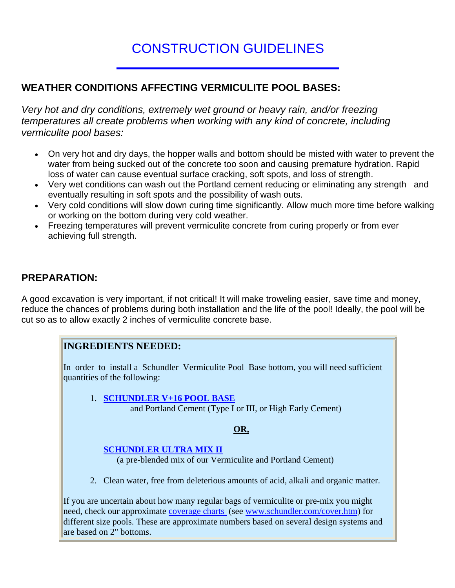## CONSTRUCTION GUIDELINES

#### **WEATHER CONDITIONS AFFECTING VERMICULITE POOL BASES:**

*Very hot and dry conditions, extremely wet ground or heavy rain, and/or freezing temperatures all create problems when working with any kind of concrete, including vermiculite pool bases:*

- On very hot and dry days, the hopper walls and bottom should be misted with water to prevent the water from being sucked out of the concrete too soon and causing premature hydration. Rapid loss of water can cause eventual surface cracking, soft spots, and loss of strength.
- Very wet conditions can wash out the Portland cement reducing or eliminating any strength and eventually resulting in soft spots and the possibility of wash outs.
- Very cold conditions will slow down curing time significantly. Allow much more time before walking or working on the bottom during very cold weather.
- Freezing temperatures will prevent vermiculite concrete from curing properly or from ever achieving full strength.

#### **PREPARATION:**

A good excavation is very important, if not critical! It will make troweling easier, save time and money, reduce the chances of problems during both installation and the life of the pool! Ideally, the pool will be cut so as to allow exactly 2 inches of vermiculite concrete base.

#### **INGREDIENTS NEEDED:**

In order to install a Schundler Vermiculite Pool Base bottom, you will need sufficient quantities of the following:

1. **SCHUNDLER V+16 POOL BASE** and Portland Cement (Type I or III, or High Early Cement)

#### **OR,**

#### **SCHUNDLER ULTRA MIX II**

(a pre-blended mix of our Vermiculite and Portland Cement)

2. Clean water, free from deleterious amounts of acid, alkali and organic matter.

If you are uncertain about how many regular bags of vermiculite or pre-mix you might need, check our approximate [coverage charts](http://www.schundler.com/cover.htm) (see [www.schundler.com/cover.htm](http://www.schundler.com/coverage.htm)) for different size pools. These are approximate numbers based on several design systems and are based on  $2$ " bottoms.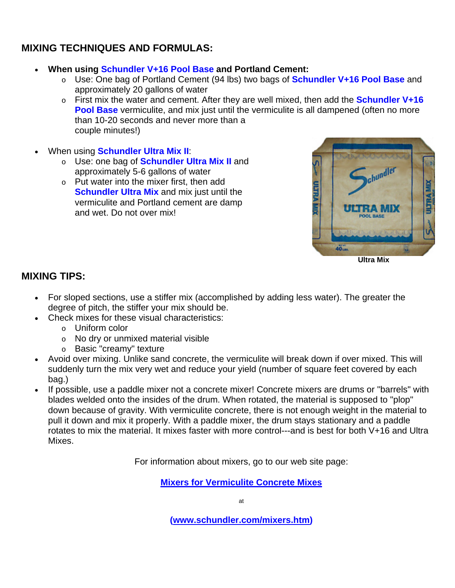#### **MIXING TECHNIQUES AND FORMULAS:**

- **When using Schundler V+16 Pool Base and Portland Cement:**
	- o Use: One bag of Portland Cement (94 lbs) two bags of **Schundler V+16 Pool Base** and approximately 20 gallons of water
	- o First mix the water and cement. After they are well mixed, then add the **Schundler V+16 Pool Base** vermiculite, and mix just until the vermiculite is all dampened (often no more than 10-20 seconds and never more than a couple minutes!)
- When using **Schundler Ultra Mix II**:
	- o Use: one bag of **Schundler Ultra Mix II** and approximately 5-6 gallons of water
	- o Put water into the mixer first, then add **Schundler Ultra Mix and mix just until the** vermiculite and Portland cement are damp and wet. Do not over mix!



**Ultra Mix**

### **MIXING TIPS:**

- For sloped sections, use a stiffer mix (accomplished by adding less water). The greater the degree of pitch, the stiffer your mix should be.
- Check mixes for these visual characteristics:
	- o Uniform color
	- o No dry or unmixed material visible
	- o Basic "creamy" texture
- Avoid over mixing. Unlike sand concrete, the vermiculite will break down if over mixed. This will suddenly turn the mix very wet and reduce your yield (number of square feet covered by each bag.)
- If possible, use a paddle mixer not a concrete mixer! Concrete mixers are drums or "barrels" with blades welded onto the insides of the drum. When rotated, the material is supposed to "plop" down because of gravity. With vermiculite concrete, there is not enough weight in the material to pull it down and mix it properly. With a paddle mixer, the drum stays stationary and a paddle rotates to mix the material. It mixes faster with more control---and is best for both V+16 and Ultra Mixes.

For information about mixers, go to our web site page:

**[Mixers for Vermiculite Concrete Mixes](http://www.schundler.com/mixers.htm)**

at

**([www.schundler.com/mixers.htm\)](http://www.schundler.com/mixers.htm)**